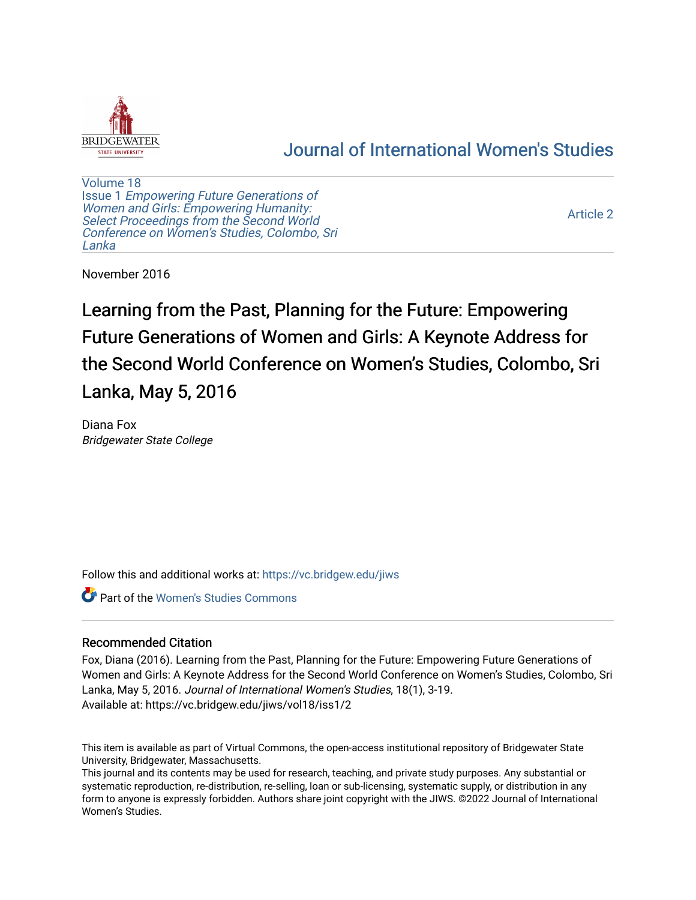

# [Journal of International Women's Studies](https://vc.bridgew.edu/jiws)

[Volume 18](https://vc.bridgew.edu/jiws/vol18) Issue 1 [Empowering Future Generations of](https://vc.bridgew.edu/jiws/vol18/iss1) [Women and Girls: Empowering Humanity:](https://vc.bridgew.edu/jiws/vol18/iss1) [Select Proceedings from the Second World](https://vc.bridgew.edu/jiws/vol18/iss1)  [Conference on Women's Studies, Colombo, Sri](https://vc.bridgew.edu/jiws/vol18/iss1)  [Lanka](https://vc.bridgew.edu/jiws/vol18/iss1) 

[Article 2](https://vc.bridgew.edu/jiws/vol18/iss1/2) 

November 2016

Learning from the Past, Planning for the Future: Empowering Future Generations of Women and Girls: A Keynote Address for the Second World Conference on Women's Studies, Colombo, Sri Lanka, May 5, 2016

Diana Fox Bridgewater State College

Follow this and additional works at: [https://vc.bridgew.edu/jiws](https://vc.bridgew.edu/jiws?utm_source=vc.bridgew.edu%2Fjiws%2Fvol18%2Fiss1%2F2&utm_medium=PDF&utm_campaign=PDFCoverPages)

Part of the [Women's Studies Commons](http://network.bepress.com/hgg/discipline/561?utm_source=vc.bridgew.edu%2Fjiws%2Fvol18%2Fiss1%2F2&utm_medium=PDF&utm_campaign=PDFCoverPages) 

## Recommended Citation

Fox, Diana (2016). Learning from the Past, Planning for the Future: Empowering Future Generations of Women and Girls: A Keynote Address for the Second World Conference on Women's Studies, Colombo, Sri Lanka, May 5, 2016. Journal of International Women's Studies, 18(1), 3-19. Available at: https://vc.bridgew.edu/jiws/vol18/iss1/2

This item is available as part of Virtual Commons, the open-access institutional repository of Bridgewater State University, Bridgewater, Massachusetts.

This journal and its contents may be used for research, teaching, and private study purposes. Any substantial or systematic reproduction, re-distribution, re-selling, loan or sub-licensing, systematic supply, or distribution in any form to anyone is expressly forbidden. Authors share joint copyright with the JIWS. ©2022 Journal of International Women's Studies.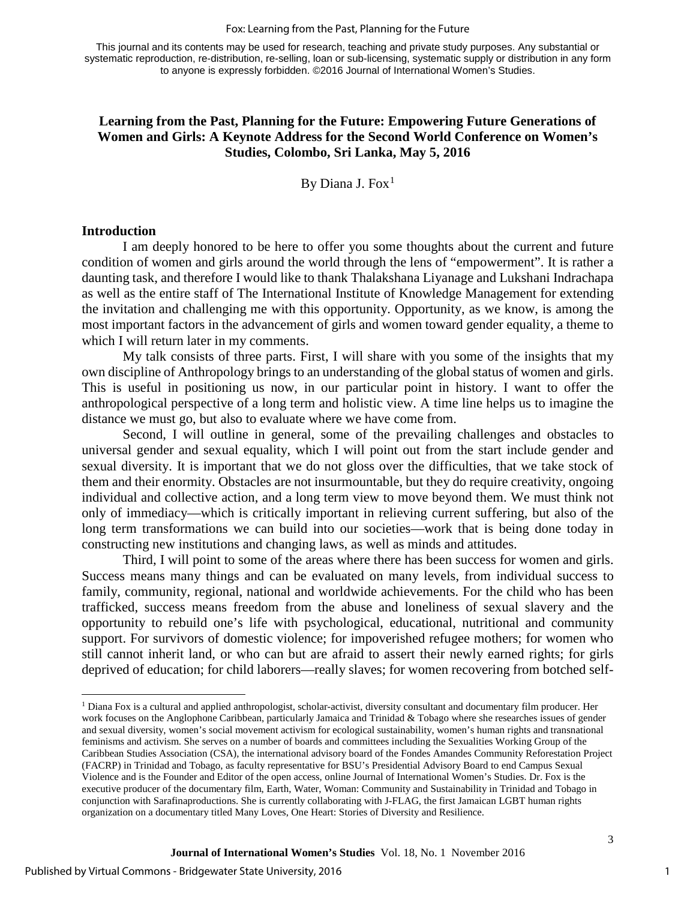#### Fox: Learning from the Past, Planning for the Future

This journal and its contents may be used for research, teaching and private study purposes. Any substantial or systematic reproduction, re-distribution, re-selling, loan or sub-licensing, systematic supply or distribution in any form to anyone is expressly forbidden. ©2016 Journal of International Women's Studies.

## **Learning from the Past, Planning for the Future: Empowering Future Generations of Women and Girls: A Keynote Address for the Second World Conference on Women's Studies, Colombo, Sri Lanka, May 5, 2016**

By Diana J. Fox $<sup>1</sup>$  $<sup>1</sup>$  $<sup>1</sup>$ </sup>

#### **Introduction**

 $\overline{\phantom{a}}$ 

I am deeply honored to be here to offer you some thoughts about the current and future condition of women and girls around the world through the lens of "empowerment". It is rather a daunting task, and therefore I would like to thank Thalakshana Liyanage and Lukshani Indrachapa as well as the entire staff of The International Institute of Knowledge Management for extending the invitation and challenging me with this opportunity. Opportunity, as we know, is among the most important factors in the advancement of girls and women toward gender equality, a theme to which I will return later in my comments.

My talk consists of three parts. First, I will share with you some of the insights that my own discipline of Anthropology brings to an understanding of the global status of women and girls. This is useful in positioning us now, in our particular point in history. I want to offer the anthropological perspective of a long term and holistic view. A time line helps us to imagine the distance we must go, but also to evaluate where we have come from.

Second, I will outline in general, some of the prevailing challenges and obstacles to universal gender and sexual equality, which I will point out from the start include gender and sexual diversity. It is important that we do not gloss over the difficulties, that we take stock of them and their enormity. Obstacles are not insurmountable, but they do require creativity, ongoing individual and collective action, and a long term view to move beyond them. We must think not only of immediacy—which is critically important in relieving current suffering, but also of the long term transformations we can build into our societies—work that is being done today in constructing new institutions and changing laws, as well as minds and attitudes.

Third, I will point to some of the areas where there has been success for women and girls. Success means many things and can be evaluated on many levels, from individual success to family, community, regional, national and worldwide achievements. For the child who has been trafficked, success means freedom from the abuse and loneliness of sexual slavery and the opportunity to rebuild one's life with psychological, educational, nutritional and community support. For survivors of domestic violence; for impoverished refugee mothers; for women who still cannot inherit land, or who can but are afraid to assert their newly earned rights; for girls deprived of education; for child laborers—really slaves; for women recovering from botched self-

<span id="page-1-0"></span><sup>1</sup> Diana Fox is a cultural and applied anthropologist, scholar-activist, diversity consultant and documentary film producer. Her work focuses on the Anglophone Caribbean, particularly Jamaica and Trinidad & Tobago where she researches issues of gender and sexual diversity, women's social movement activism for ecological sustainability, women's human rights and transnational feminisms and activism. She serves on a number of boards and committees including the Sexualities Working Group of the Caribbean Studies Association (CSA), the international advisory board of the Fondes Amandes Community Reforestation Project (FACRP) in Trinidad and Tobago, as faculty representative for BSU's Presidential Advisory Board to end Campus Sexual Violence and is the Founder and Editor of the open access, online Journal of International Women's Studies. Dr. Fox is the executive producer of the documentary film, Earth, Water, Woman: Community and Sustainability in Trinidad and Tobago in conjunction with Sarafinaproductions. She is currently collaborating with J-FLAG, the first Jamaican LGBT human rights organization on a documentary titled Many Loves, One Heart: Stories of Diversity and Resilience.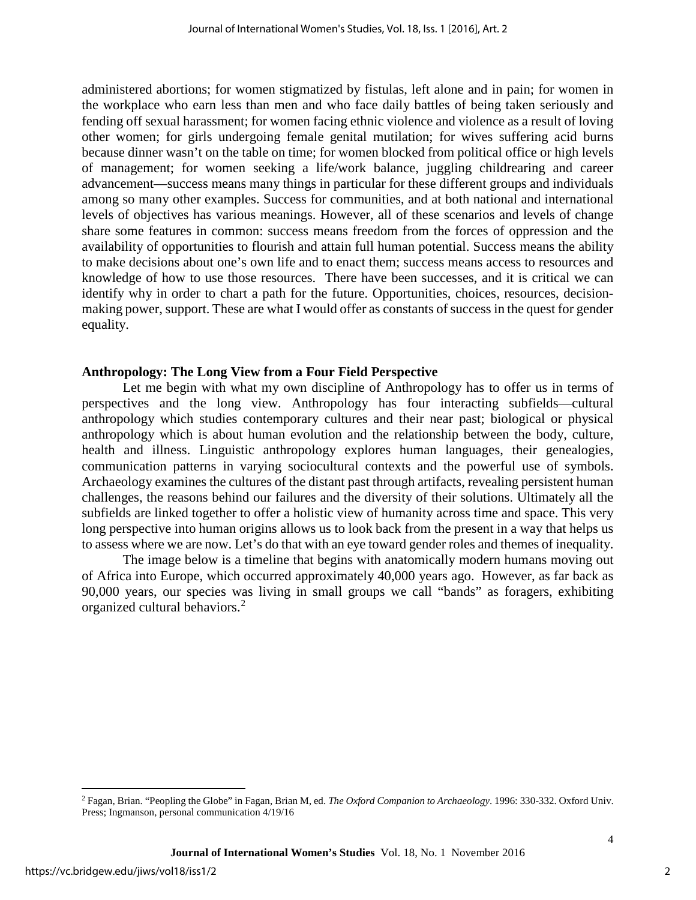administered abortions; for women stigmatized by fistulas, left alone and in pain; for women in the workplace who earn less than men and who face daily battles of being taken seriously and fending off sexual harassment; for women facing ethnic violence and violence as a result of loving other women; for girls undergoing female genital mutilation; for wives suffering acid burns because dinner wasn't on the table on time; for women blocked from political office or high levels of management; for women seeking a life/work balance, juggling childrearing and career advancement—success means many things in particular for these different groups and individuals among so many other examples. Success for communities, and at both national and international levels of objectives has various meanings. However, all of these scenarios and levels of change share some features in common: success means freedom from the forces of oppression and the availability of opportunities to flourish and attain full human potential. Success means the ability to make decisions about one's own life and to enact them; success means access to resources and knowledge of how to use those resources. There have been successes, and it is critical we can identify why in order to chart a path for the future. Opportunities, choices, resources, decisionmaking power, support. These are what I would offer as constants of success in the quest for gender equality.

#### **Anthropology: The Long View from a Four Field Perspective**

Let me begin with what my own discipline of Anthropology has to offer us in terms of perspectives and the long view. Anthropology has four interacting subfields—cultural anthropology which studies contemporary cultures and their near past; biological or physical anthropology which is about human evolution and the relationship between the body, culture, health and illness. Linguistic anthropology explores human languages, their genealogies, communication patterns in varying sociocultural contexts and the powerful use of symbols. Archaeology examines the cultures of the distant past through artifacts, revealing persistent human challenges, the reasons behind our failures and the diversity of their solutions. Ultimately all the subfields are linked together to offer a holistic view of humanity across time and space. This very long perspective into human origins allows us to look back from the present in a way that helps us to assess where we are now. Let's do that with an eye toward gender roles and themes of inequality.

The image below is a timeline that begins with anatomically modern humans moving out of Africa into Europe, which occurred approximately 40,000 years ago. However, as far back as 90,000 years, our species was living in small groups we call "bands" as foragers, exhibiting organized cultural behaviors.[2](#page-2-0)

 $\overline{\phantom{a}}$ 

<span id="page-2-0"></span><sup>2</sup> Fagan, Brian. "Peopling the Globe" in Fagan, Brian M, ed. *The Oxford Companion to Archaeology*. 1996: 330-332. Oxford Univ. Press; Ingmanson, personal communication 4/19/16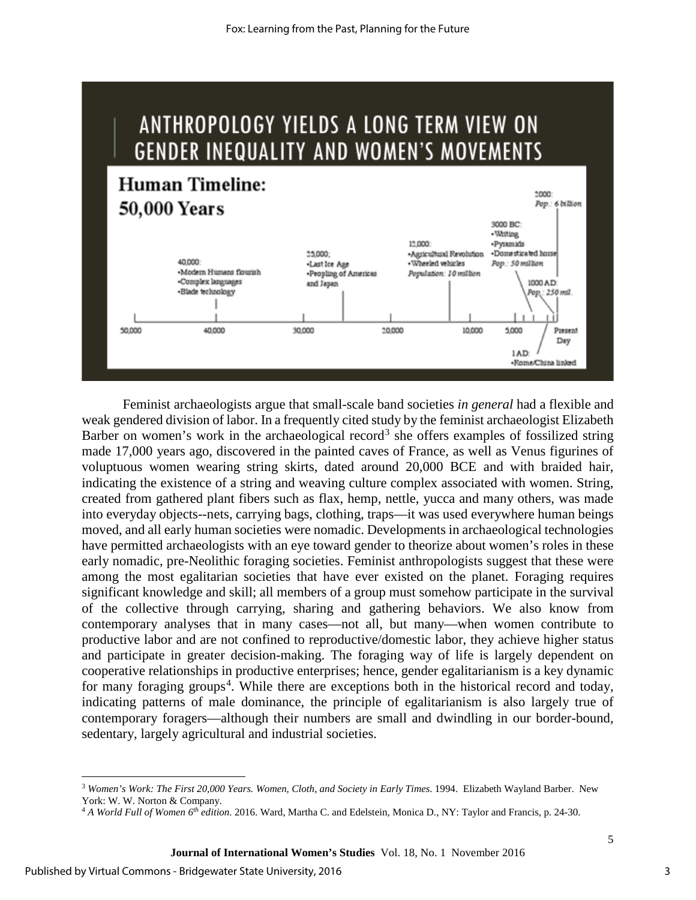

Feminist archaeologists argue that small-scale band societies *in general* had a flexible and weak gendered division of labor. In a frequently cited study by the feminist archaeologist Elizabeth Barber on women's work in the archaeological record<sup>[3](#page-3-0)</sup> she offers examples of fossilized string made 17,000 years ago, discovered in the painted caves of France, as well as Venus figurines of voluptuous women wearing string skirts, dated around 20,000 BCE and with braided hair, indicating the existence of a string and weaving culture complex associated with women. String, created from gathered plant fibers such as flax, hemp, nettle, yucca and many others, was made into everyday objects--nets, carrying bags, clothing, traps—it was used everywhere human beings moved, and all early human societies were nomadic. Developments in archaeological technologies have permitted archaeologists with an eye toward gender to theorize about women's roles in these early nomadic, pre-Neolithic foraging societies. Feminist anthropologists suggest that these were among the most egalitarian societies that have ever existed on the planet. Foraging requires significant knowledge and skill; all members of a group must somehow participate in the survival of the collective through carrying, sharing and gathering behaviors. We also know from contemporary analyses that in many cases—not all, but many—when women contribute to productive labor and are not confined to reproductive/domestic labor, they achieve higher status and participate in greater decision-making. The foraging way of life is largely dependent on cooperative relationships in productive enterprises; hence, gender egalitarianism is a key dynamic for many foraging groups<sup>[4](#page-3-1)</sup>. While there are exceptions both in the historical record and today, indicating patterns of male dominance, the principle of egalitarianism is also largely true of contemporary foragers—although their numbers are small and dwindling in our border-bound, sedentary, largely agricultural and industrial societies.

<span id="page-3-0"></span> $\overline{\phantom{a}}$ <sup>3</sup> *Women's Work: The First 20,000 Years. Women, Cloth, and Society in Early Times*. 1994. Elizabeth Wayland Barber. New York: W. W. Norton & Company.

<span id="page-3-1"></span><sup>4</sup> *A World Full of Women 6th edition*. 2016. Ward, Martha C. and Edelstein, Monica D., NY: Taylor and Francis, p. 24-30.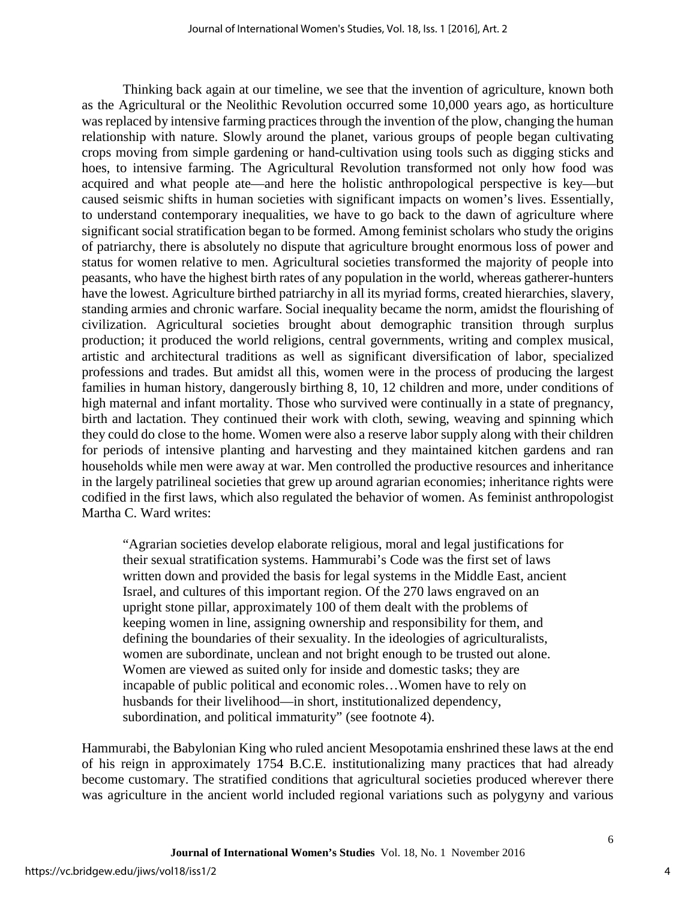Thinking back again at our timeline, we see that the invention of agriculture, known both as the Agricultural or the Neolithic Revolution occurred some 10,000 years ago, as horticulture was replaced by intensive farming practices through the invention of the plow, changing the human relationship with nature. Slowly around the planet, various groups of people began cultivating crops moving from simple gardening or hand-cultivation using tools such as digging sticks and hoes, to intensive farming. The Agricultural Revolution transformed not only how food was acquired and what people ate—and here the holistic anthropological perspective is key—but caused seismic shifts in human societies with significant impacts on women's lives. Essentially, to understand contemporary inequalities, we have to go back to the dawn of agriculture where significant social stratification began to be formed. Among feminist scholars who study the origins of patriarchy, there is absolutely no dispute that agriculture brought enormous loss of power and status for women relative to men. Agricultural societies transformed the majority of people into peasants, who have the highest birth rates of any population in the world, whereas gatherer-hunters have the lowest. Agriculture birthed patriarchy in all its myriad forms, created hierarchies, slavery, standing armies and chronic warfare. Social inequality became the norm, amidst the flourishing of civilization. Agricultural societies brought about demographic transition through surplus production; it produced the world religions, central governments, writing and complex musical, artistic and architectural traditions as well as significant diversification of labor, specialized professions and trades. But amidst all this, women were in the process of producing the largest families in human history, dangerously birthing 8, 10, 12 children and more, under conditions of high maternal and infant mortality. Those who survived were continually in a state of pregnancy, birth and lactation. They continued their work with cloth, sewing, weaving and spinning which they could do close to the home. Women were also a reserve labor supply along with their children for periods of intensive planting and harvesting and they maintained kitchen gardens and ran households while men were away at war. Men controlled the productive resources and inheritance in the largely patrilineal societies that grew up around agrarian economies; inheritance rights were codified in the first laws, which also regulated the behavior of women. As feminist anthropologist Martha C. Ward writes:

"Agrarian societies develop elaborate religious, moral and legal justifications for their sexual stratification systems. Hammurabi's Code was the first set of laws written down and provided the basis for legal systems in the Middle East, ancient Israel, and cultures of this important region. Of the 270 laws engraved on an upright stone pillar, approximately 100 of them dealt with the problems of keeping women in line, assigning ownership and responsibility for them, and defining the boundaries of their sexuality. In the ideologies of agriculturalists, women are subordinate, unclean and not bright enough to be trusted out alone. Women are viewed as suited only for inside and domestic tasks; they are incapable of public political and economic roles…Women have to rely on husbands for their livelihood—in short, institutionalized dependency, subordination, and political immaturity" (see footnote 4).

Hammurabi, the Babylonian King who ruled ancient Mesopotamia enshrined these laws at the end of his reign in approximately 1754 B.C.E. institutionalizing many practices that had already become customary. The stratified conditions that agricultural societies produced wherever there was agriculture in the ancient world included regional variations such as polygyny and various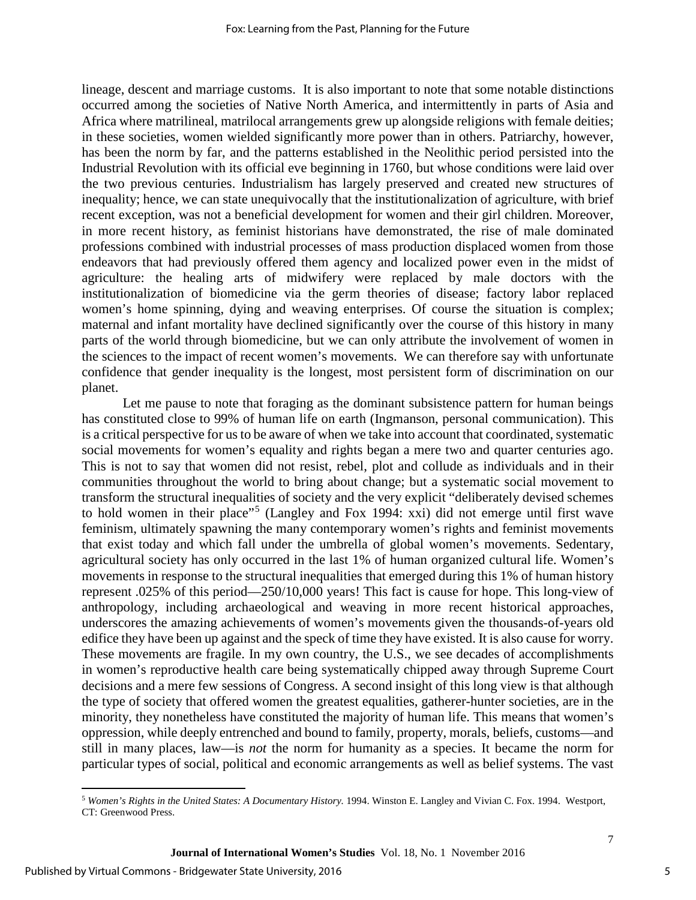lineage, descent and marriage customs. It is also important to note that some notable distinctions occurred among the societies of Native North America, and intermittently in parts of Asia and Africa where matrilineal, matrilocal arrangements grew up alongside religions with female deities; in these societies, women wielded significantly more power than in others. Patriarchy, however, has been the norm by far, and the patterns established in the Neolithic period persisted into the Industrial Revolution with its official eve beginning in 1760, but whose conditions were laid over the two previous centuries. Industrialism has largely preserved and created new structures of inequality; hence, we can state unequivocally that the institutionalization of agriculture, with brief recent exception, was not a beneficial development for women and their girl children. Moreover, in more recent history, as feminist historians have demonstrated, the rise of male dominated professions combined with industrial processes of mass production displaced women from those endeavors that had previously offered them agency and localized power even in the midst of agriculture: the healing arts of midwifery were replaced by male doctors with the institutionalization of biomedicine via the germ theories of disease; factory labor replaced women's home spinning, dying and weaving enterprises. Of course the situation is complex; maternal and infant mortality have declined significantly over the course of this history in many parts of the world through biomedicine, but we can only attribute the involvement of women in the sciences to the impact of recent women's movements. We can therefore say with unfortunate confidence that gender inequality is the longest, most persistent form of discrimination on our planet.

Let me pause to note that foraging as the dominant subsistence pattern for human beings has constituted close to 99% of human life on earth (Ingmanson, personal communication). This is a critical perspective for us to be aware of when we take into account that coordinated, systematic social movements for women's equality and rights began a mere two and quarter centuries ago. This is not to say that women did not resist, rebel, plot and collude as individuals and in their communities throughout the world to bring about change; but a systematic social movement to transform the structural inequalities of society and the very explicit "deliberately devised schemes to hold women in their place"<sup>[5](#page-5-0)</sup> (Langley and Fox 1994: xxi) did not emerge until first wave feminism, ultimately spawning the many contemporary women's rights and feminist movements that exist today and which fall under the umbrella of global women's movements. Sedentary, agricultural society has only occurred in the last 1% of human organized cultural life. Women's movements in response to the structural inequalities that emerged during this 1% of human history represent .025% of this period—250/10,000 years! This fact is cause for hope. This long-view of anthropology, including archaeological and weaving in more recent historical approaches, underscores the amazing achievements of women's movements given the thousands-of-years old edifice they have been up against and the speck of time they have existed. It is also cause for worry. These movements are fragile. In my own country, the U.S., we see decades of accomplishments in women's reproductive health care being systematically chipped away through Supreme Court decisions and a mere few sessions of Congress. A second insight of this long view is that although the type of society that offered women the greatest equalities, gatherer-hunter societies, are in the minority, they nonetheless have constituted the majority of human life. This means that women's oppression, while deeply entrenched and bound to family, property, morals, beliefs, customs—and still in many places, law—is *not* the norm for humanity as a species. It became the norm for particular types of social, political and economic arrangements as well as belief systems. The vast

 $\overline{\phantom{a}}$ 

<span id="page-5-0"></span><sup>5</sup> *Women's Rights in the United States: A Documentary History.* 1994. Winston E. Langley and Vivian C. Fox. 1994. Westport, CT: Greenwood Press.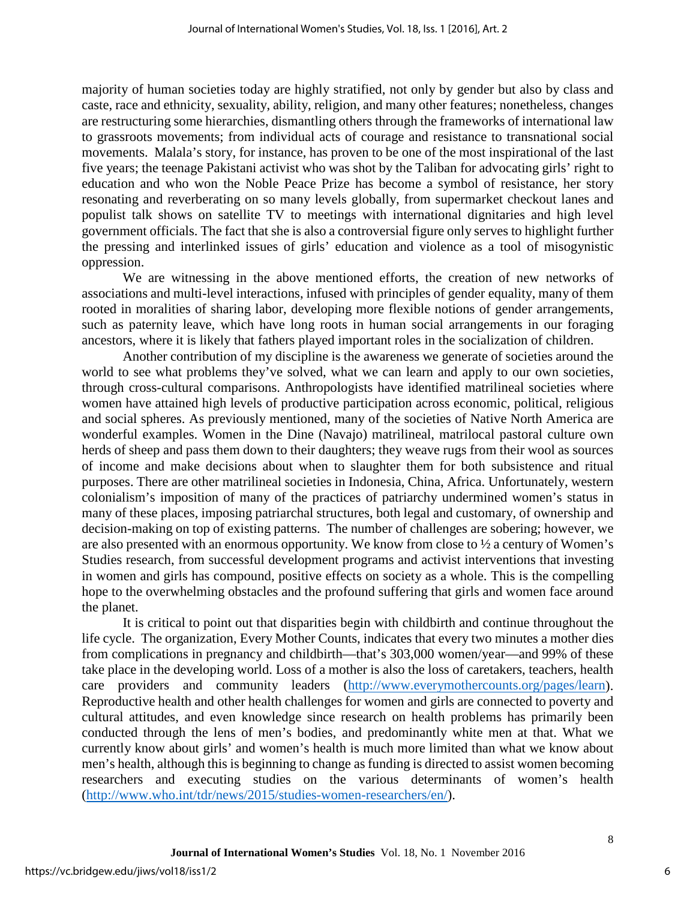majority of human societies today are highly stratified, not only by gender but also by class and caste, race and ethnicity, sexuality, ability, religion, and many other features; nonetheless, changes are restructuring some hierarchies, dismantling others through the frameworks of international law to grassroots movements; from individual acts of courage and resistance to transnational social movements. Malala's story, for instance, has proven to be one of the most inspirational of the last five years; the teenage Pakistani activist who was shot by the Taliban for advocating girls' right to education and who won the Noble Peace Prize has become a symbol of resistance, her story resonating and reverberating on so many levels globally, from supermarket checkout lanes and populist talk shows on satellite TV to meetings with international dignitaries and high level government officials. The fact that she is also a controversial figure only serves to highlight further the pressing and interlinked issues of girls' education and violence as a tool of misogynistic oppression.

We are witnessing in the above mentioned efforts, the creation of new networks of associations and multi-level interactions, infused with principles of gender equality, many of them rooted in moralities of sharing labor, developing more flexible notions of gender arrangements, such as paternity leave, which have long roots in human social arrangements in our foraging ancestors, where it is likely that fathers played important roles in the socialization of children.

Another contribution of my discipline is the awareness we generate of societies around the world to see what problems they've solved, what we can learn and apply to our own societies, through cross-cultural comparisons. Anthropologists have identified matrilineal societies where women have attained high levels of productive participation across economic, political, religious and social spheres. As previously mentioned, many of the societies of Native North America are wonderful examples. Women in the Dine (Navajo) matrilineal, matrilocal pastoral culture own herds of sheep and pass them down to their daughters; they weave rugs from their wool as sources of income and make decisions about when to slaughter them for both subsistence and ritual purposes. There are other matrilineal societies in Indonesia, China, Africa. Unfortunately, western colonialism's imposition of many of the practices of patriarchy undermined women's status in many of these places, imposing patriarchal structures, both legal and customary, of ownership and decision-making on top of existing patterns. The number of challenges are sobering; however, we are also presented with an enormous opportunity. We know from close to ½ a century of Women's Studies research, from successful development programs and activist interventions that investing in women and girls has compound, positive effects on society as a whole. This is the compelling hope to the overwhelming obstacles and the profound suffering that girls and women face around the planet.

It is critical to point out that disparities begin with childbirth and continue throughout the life cycle. The organization, Every Mother Counts, indicates that every two minutes a mother dies from complications in pregnancy and childbirth—that's 303,000 women/year—and 99% of these take place in the developing world. Loss of a mother is also the loss of caretakers, teachers, health care providers and community leaders [\(http://www.everymothercounts.org/pages/learn\)](http://www.everymothercounts.org/pages/learn). Reproductive health and other health challenges for women and girls are connected to poverty and cultural attitudes, and even knowledge since research on health problems has primarily been conducted through the lens of men's bodies, and predominantly white men at that. What we currently know about girls' and women's health is much more limited than what we know about men's health, although this is beginning to change as funding is directed to assist women becoming researchers and executing studies on the various determinants of women's health [\(http://www.who.int/tdr/news/2015/studies-women-researchers/en/\)](http://www.who.int/tdr/news/2015/studies-women-researchers/en/).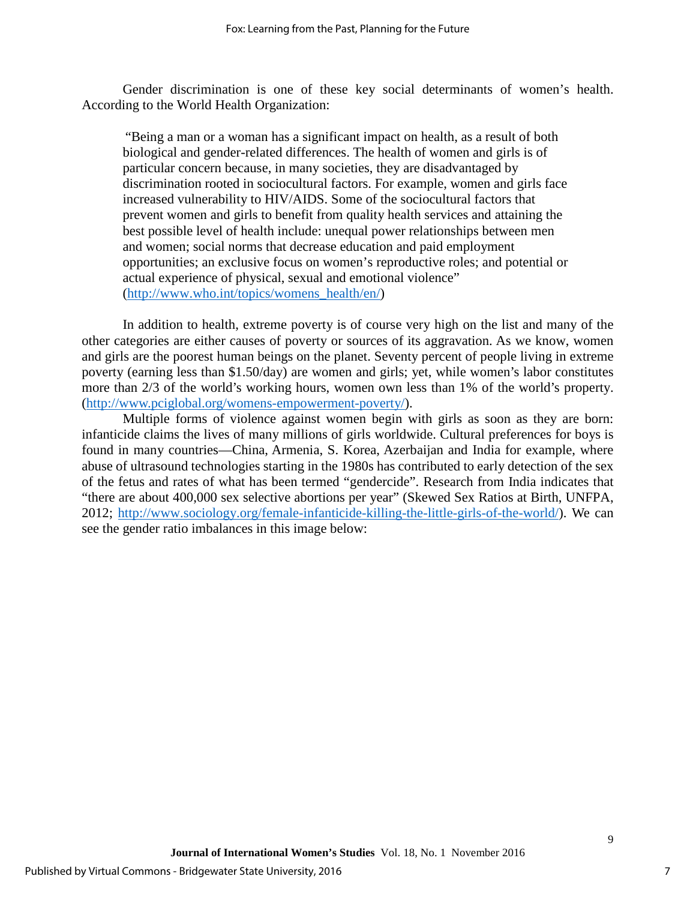Gender discrimination is one of these key social determinants of women's health. According to the World Health Organization:

"Being a man or a woman has a significant impact on health, as a result of both biological and gender-related differences. The health of women and girls is of particular concern because, in many societies, they are disadvantaged by discrimination rooted in sociocultural factors. For example, women and girls face increased vulnerability to HIV/AIDS. Some of the sociocultural factors that prevent women and girls to benefit from quality health services and attaining the best possible level of health include: unequal power relationships between men and women; social norms that decrease education and paid employment opportunities; an exclusive focus on women's reproductive roles; and potential or actual experience of physical, sexual and emotional violence" [\(http://www.who.int/topics/womens\\_health/en/\)](http://www.who.int/topics/womens_health/en/)

In addition to health, extreme poverty is of course very high on the list and many of the other categories are either causes of poverty or sources of its aggravation. As we know, women and girls are the poorest human beings on the planet. Seventy percent of people living in extreme poverty (earning less than \$1.50/day) are women and girls; yet, while women's labor constitutes more than 2/3 of the world's working hours, women own less than 1% of the world's property. [\(http://www.pciglobal.org/womens-empowerment-poverty/\)](http://www.pciglobal.org/womens-empowerment-poverty/).

Multiple forms of violence against women begin with girls as soon as they are born: infanticide claims the lives of many millions of girls worldwide. Cultural preferences for boys is found in many countries—China, Armenia, S. Korea, Azerbaijan and India for example, where abuse of ultrasound technologies starting in the 1980s has contributed to early detection of the sex of the fetus and rates of what has been termed "gendercide". Research from India indicates that "there are about 400,000 sex selective abortions per year" (Skewed Sex Ratios at Birth, UNFPA, 2012; [http://www.sociology.org/female-infanticide-killing-the-little-girls-of-the-world/\)](http://www.sociology.org/female-infanticide-killing-the-little-girls-of-the-world/). We can see the gender ratio imbalances in this image below: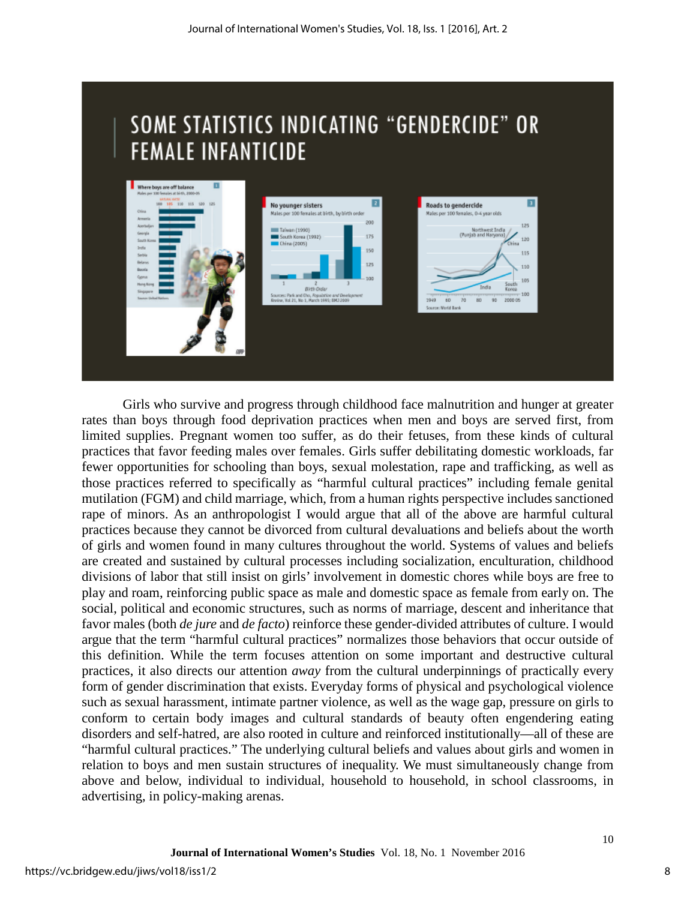

Girls who survive and progress through childhood face malnutrition and hunger at greater rates than boys through food deprivation practices when men and boys are served first, from limited supplies. Pregnant women too suffer, as do their fetuses, from these kinds of cultural practices that favor feeding males over females. Girls suffer debilitating domestic workloads, far fewer opportunities for schooling than boys, sexual molestation, rape and trafficking, as well as those practices referred to specifically as "harmful cultural practices" including female genital mutilation (FGM) and child marriage, which, from a human rights perspective includes sanctioned rape of minors. As an anthropologist I would argue that all of the above are harmful cultural practices because they cannot be divorced from cultural devaluations and beliefs about the worth of girls and women found in many cultures throughout the world. Systems of values and beliefs are created and sustained by cultural processes including socialization, enculturation, childhood divisions of labor that still insist on girls' involvement in domestic chores while boys are free to play and roam, reinforcing public space as male and domestic space as female from early on. The social, political and economic structures, such as norms of marriage, descent and inheritance that favor males (both *de jure* and *de facto*) reinforce these gender-divided attributes of culture. I would argue that the term "harmful cultural practices" normalizes those behaviors that occur outside of this definition. While the term focuses attention on some important and destructive cultural practices, it also directs our attention *away* from the cultural underpinnings of practically every form of gender discrimination that exists. Everyday forms of physical and psychological violence such as sexual harassment, intimate partner violence, as well as the wage gap, pressure on girls to conform to certain body images and cultural standards of beauty often engendering eating disorders and self-hatred, are also rooted in culture and reinforced institutionally—all of these are "harmful cultural practices." The underlying cultural beliefs and values about girls and women in relation to boys and men sustain structures of inequality. We must simultaneously change from above and below, individual to individual, household to household, in school classrooms, in advertising, in policy-making arenas.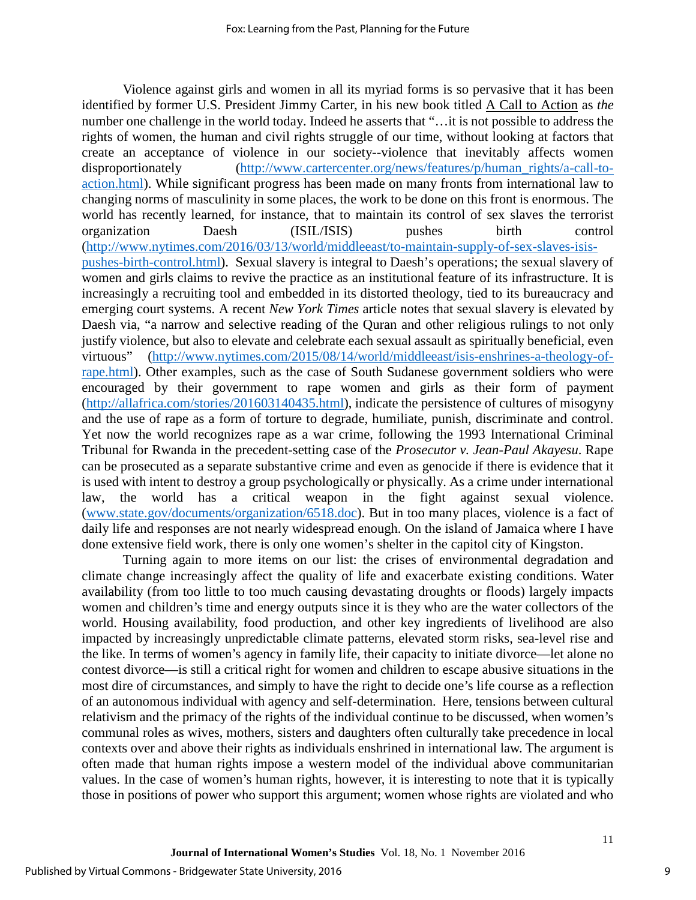Violence against girls and women in all its myriad forms is so pervasive that it has been identified by former U.S. President Jimmy Carter, in his new book titled A Call to Action as *the* number one challenge in the world today. Indeed he asserts that "…it is not possible to address the rights of women, the human and civil rights struggle of our time, without looking at factors that create an acceptance of violence in our society--violence that inevitably affects women disproportionately [\(http://www.cartercenter.org/news/features/p/human\\_rights/a-call-to](http://www.cartercenter.org/news/features/p/human_rights/a-call-to-action.html)[action.html\)](http://www.cartercenter.org/news/features/p/human_rights/a-call-to-action.html). While significant progress has been made on many fronts from international law to changing norms of masculinity in some places, the work to be done on this front is enormous. The world has recently learned, for instance, that to maintain its control of sex slaves the terrorist organization Daesh (ISIL/ISIS) pushes birth control [\(http://www.nytimes.com/2016/03/13/world/middleeast/to-maintain-supply-of-sex-slaves-isis](http://www.nytimes.com/2016/03/13/world/middleeast/to-maintain-supply-of-sex-slaves-isis-pushes-birth-control.html)[pushes-birth-control.html\)](http://www.nytimes.com/2016/03/13/world/middleeast/to-maintain-supply-of-sex-slaves-isis-pushes-birth-control.html). Sexual slavery is integral to Daesh's operations; the sexual slavery of women and girls claims to revive the practice as an institutional feature of its infrastructure. It is increasingly a recruiting tool and embedded in its distorted theology, tied to its bureaucracy and emerging court systems. A recent *New York Times* article notes that sexual slavery is elevated by Daesh via, "a narrow and selective reading of the Quran and other religious rulings to not only justify violence, but also to elevate and celebrate each sexual assault as spiritually beneficial, even virtuous" [\(http://www.nytimes.com/2015/08/14/world/middleeast/isis-enshrines-a-theology-of](http://www.nytimes.com/2015/08/14/world/middleeast/isis-enshrines-a-theology-of-rape.html)[rape.html\)](http://www.nytimes.com/2015/08/14/world/middleeast/isis-enshrines-a-theology-of-rape.html). Other examples, such as the case of South Sudanese government soldiers who were encouraged by their government to rape women and girls as their form of payment [\(http://allafrica.com/stories/201603140435.html\)](http://allafrica.com/stories/201603140435.html), indicate the persistence of cultures of misogyny and the use of rape as a form of torture to degrade, humiliate, punish, discriminate and control. Yet now the world recognizes rape as a war crime, following the 1993 International Criminal Tribunal for Rwanda in the precedent-setting case of the *Prosecutor v. Jean-Paul Akayesu*. Rape can be prosecuted as a separate substantive crime and even as genocide if there is evidence that it is used with intent to destroy a group psychologically or physically. As a crime under international law, the world has a critical weapon in the fight against sexual violence. [\(www.state.gov/documents/organization/6518.doc\)](http://www.state.gov/documents/organization/6518.doc). But in too many places, violence is a fact of daily life and responses are not nearly widespread enough. On the island of Jamaica where I have done extensive field work, there is only one women's shelter in the capitol city of Kingston.

Turning again to more items on our list: the crises of environmental degradation and climate change increasingly affect the quality of life and exacerbate existing conditions. Water availability (from too little to too much causing devastating droughts or floods) largely impacts women and children's time and energy outputs since it is they who are the water collectors of the world. Housing availability, food production, and other key ingredients of livelihood are also impacted by increasingly unpredictable climate patterns, elevated storm risks, sea-level rise and the like. In terms of women's agency in family life, their capacity to initiate divorce—let alone no contest divorce—is still a critical right for women and children to escape abusive situations in the most dire of circumstances, and simply to have the right to decide one's life course as a reflection of an autonomous individual with agency and self-determination. Here, tensions between cultural relativism and the primacy of the rights of the individual continue to be discussed, when women's communal roles as wives, mothers, sisters and daughters often culturally take precedence in local contexts over and above their rights as individuals enshrined in international law. The argument is often made that human rights impose a western model of the individual above communitarian values. In the case of women's human rights, however, it is interesting to note that it is typically those in positions of power who support this argument; women whose rights are violated and who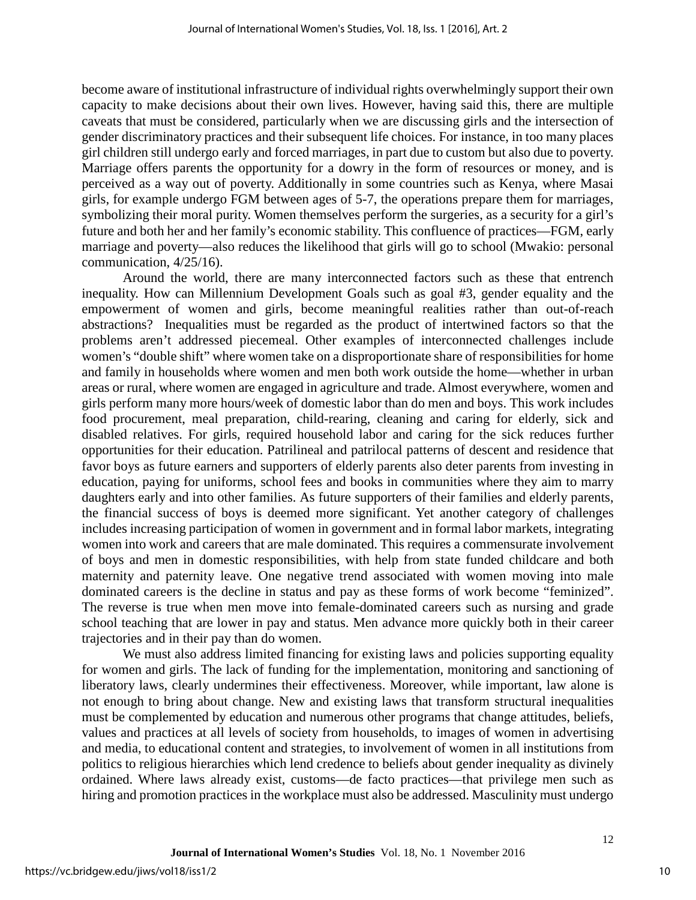become aware of institutional infrastructure of individual rights overwhelmingly support their own capacity to make decisions about their own lives. However, having said this, there are multiple caveats that must be considered, particularly when we are discussing girls and the intersection of gender discriminatory practices and their subsequent life choices. For instance, in too many places girl children still undergo early and forced marriages, in part due to custom but also due to poverty. Marriage offers parents the opportunity for a dowry in the form of resources or money, and is perceived as a way out of poverty. Additionally in some countries such as Kenya, where Masai girls, for example undergo FGM between ages of 5-7, the operations prepare them for marriages, symbolizing their moral purity. Women themselves perform the surgeries, as a security for a girl's future and both her and her family's economic stability. This confluence of practices—FGM, early marriage and poverty—also reduces the likelihood that girls will go to school (Mwakio: personal communication, 4/25/16).

Around the world, there are many interconnected factors such as these that entrench inequality. How can Millennium Development Goals such as goal #3, gender equality and the empowerment of women and girls, become meaningful realities rather than out-of-reach abstractions? Inequalities must be regarded as the product of intertwined factors so that the problems aren't addressed piecemeal. Other examples of interconnected challenges include women's "double shift" where women take on a disproportionate share of responsibilities for home and family in households where women and men both work outside the home—whether in urban areas or rural, where women are engaged in agriculture and trade. Almost everywhere, women and girls perform many more hours/week of domestic labor than do men and boys. This work includes food procurement, meal preparation, child-rearing, cleaning and caring for elderly, sick and disabled relatives. For girls, required household labor and caring for the sick reduces further opportunities for their education. Patrilineal and patrilocal patterns of descent and residence that favor boys as future earners and supporters of elderly parents also deter parents from investing in education, paying for uniforms, school fees and books in communities where they aim to marry daughters early and into other families. As future supporters of their families and elderly parents, the financial success of boys is deemed more significant. Yet another category of challenges includes increasing participation of women in government and in formal labor markets, integrating women into work and careers that are male dominated. This requires a commensurate involvement of boys and men in domestic responsibilities, with help from state funded childcare and both maternity and paternity leave. One negative trend associated with women moving into male dominated careers is the decline in status and pay as these forms of work become "feminized". The reverse is true when men move into female-dominated careers such as nursing and grade school teaching that are lower in pay and status. Men advance more quickly both in their career trajectories and in their pay than do women.

We must also address limited financing for existing laws and policies supporting equality for women and girls. The lack of funding for the implementation, monitoring and sanctioning of liberatory laws, clearly undermines their effectiveness. Moreover, while important, law alone is not enough to bring about change. New and existing laws that transform structural inequalities must be complemented by education and numerous other programs that change attitudes, beliefs, values and practices at all levels of society from households, to images of women in advertising and media, to educational content and strategies, to involvement of women in all institutions from politics to religious hierarchies which lend credence to beliefs about gender inequality as divinely ordained. Where laws already exist, customs—de facto practices—that privilege men such as hiring and promotion practices in the workplace must also be addressed. Masculinity must undergo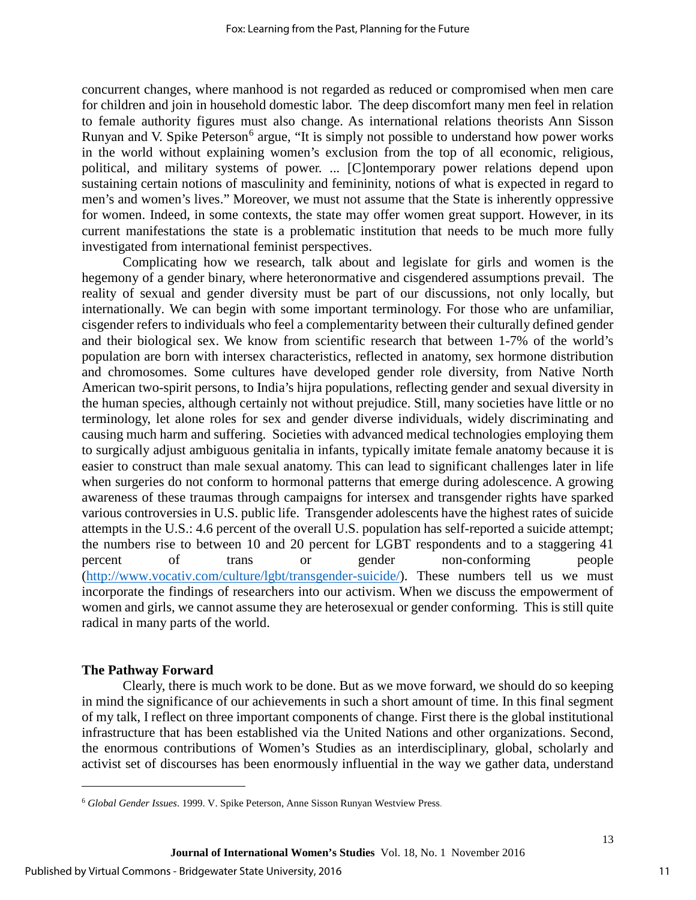concurrent changes, where manhood is not regarded as reduced or compromised when men care for children and join in household domestic labor. The deep discomfort many men feel in relation to female authority figures must also change. As international relations theorists Ann Sisson Runyan and V. Spike Peterson<sup>[6](#page-11-0)</sup> argue, "It is simply not possible to understand how power works in the world without explaining women's exclusion from the top of all economic, religious, political, and military systems of power. ... [C]ontemporary power relations depend upon sustaining certain notions of masculinity and femininity, notions of what is expected in regard to men's and women's lives." Moreover, we must not assume that the State is inherently oppressive for women. Indeed, in some contexts, the state may offer women great support. However, in its current manifestations the state is a problematic institution that needs to be much more fully investigated from international feminist perspectives.

Complicating how we research, talk about and legislate for girls and women is the hegemony of a gender binary, where heteronormative and cisgendered assumptions prevail. The reality of sexual and gender diversity must be part of our discussions, not only locally, but internationally. We can begin with some important terminology. For those who are unfamiliar, cisgender refers to individuals who feel a complementarity between their culturally defined gender and their biological sex. We know from scientific research that between 1-7% of the world's population are born with intersex characteristics, reflected in anatomy, sex hormone distribution and chromosomes. Some cultures have developed gender role diversity, from Native North American two-spirit persons, to India's hijra populations, reflecting gender and sexual diversity in the human species, although certainly not without prejudice. Still, many societies have little or no terminology, let alone roles for sex and gender diverse individuals, widely discriminating and causing much harm and suffering. Societies with advanced medical technologies employing them to surgically adjust ambiguous genitalia in infants, typically imitate female anatomy because it is easier to construct than male sexual anatomy. This can lead to significant challenges later in life when surgeries do not conform to hormonal patterns that emerge during adolescence. A growing awareness of these traumas through campaigns for intersex and transgender rights have sparked various controversies in U.S. public life. Transgender adolescents have the highest rates of suicide attempts in the U.S.: 4.6 percent of the overall U.S. population has self-reported a suicide attempt; the numbers rise to between 10 and 20 percent for LGBT respondents and to a staggering 41 percent of trans or gender non-conforming people [\(http://www.vocativ.com/culture/lgbt/transgender-suicide/\)](http://www.vocativ.com/culture/lgbt/transgender-suicide/). These numbers tell us we must incorporate the findings of researchers into our activism. When we discuss the empowerment of women and girls, we cannot assume they are heterosexual or gender conforming. This is still quite radical in many parts of the world.

# **The Pathway Forward**

 $\overline{\phantom{a}}$ 

Clearly, there is much work to be done. But as we move forward, we should do so keeping in mind the significance of our achievements in such a short amount of time. In this final segment of my talk, I reflect on three important components of change. First there is the global institutional infrastructure that has been established via the United Nations and other organizations. Second, the enormous contributions of Women's Studies as an interdisciplinary, global, scholarly and activist set of discourses has been enormously influential in the way we gather data, understand

<span id="page-11-0"></span><sup>6</sup> *Global Gender Issues*. 1999[. V. Spike Peterson,](https://www.google.com/search?tbo=p&tbm=bks&q=inauthor:%22V.+Spike+Peterson%22) [Anne Sisson Runyan](https://www.google.com/search?tbo=p&tbm=bks&q=inauthor:%22Anne+Sisson+Runyan%22) Westview Press.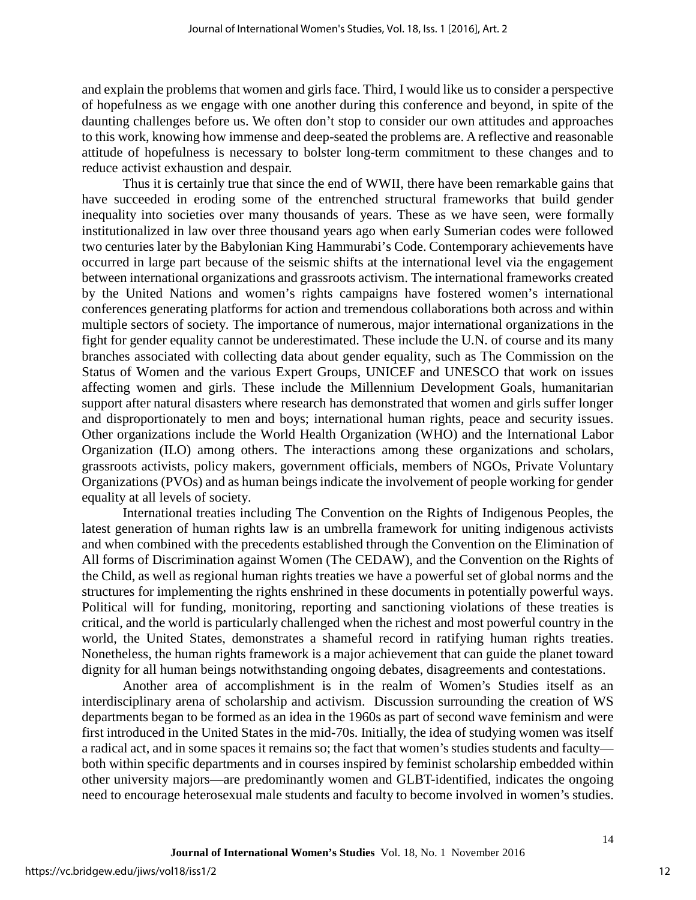and explain the problems that women and girls face. Third, I would like us to consider a perspective of hopefulness as we engage with one another during this conference and beyond, in spite of the daunting challenges before us. We often don't stop to consider our own attitudes and approaches to this work, knowing how immense and deep-seated the problems are. A reflective and reasonable attitude of hopefulness is necessary to bolster long-term commitment to these changes and to reduce activist exhaustion and despair.

Thus it is certainly true that since the end of WWII, there have been remarkable gains that have succeeded in eroding some of the entrenched structural frameworks that build gender inequality into societies over many thousands of years. These as we have seen, were formally institutionalized in law over three thousand years ago when early Sumerian codes were followed two centuries later by the Babylonian King Hammurabi's Code. Contemporary achievements have occurred in large part because of the seismic shifts at the international level via the engagement between international organizations and grassroots activism. The international frameworks created by the United Nations and women's rights campaigns have fostered women's international conferences generating platforms for action and tremendous collaborations both across and within multiple sectors of society. The importance of numerous, major international organizations in the fight for gender equality cannot be underestimated. These include the U.N. of course and its many branches associated with collecting data about gender equality, such as The Commission on the Status of Women and the various Expert Groups, UNICEF and UNESCO that work on issues affecting women and girls. These include the Millennium Development Goals, humanitarian support after natural disasters where research has demonstrated that women and girls suffer longer and disproportionately to men and boys; international human rights, peace and security issues. Other organizations include the World Health Organization (WHO) and the International Labor Organization (ILO) among others. The interactions among these organizations and scholars, grassroots activists, policy makers, government officials, members of NGOs, Private Voluntary Organizations (PVOs) and as human beings indicate the involvement of people working for gender equality at all levels of society.

International treaties including The Convention on the Rights of Indigenous Peoples, the latest generation of human rights law is an umbrella framework for uniting indigenous activists and when combined with the precedents established through the Convention on the Elimination of All forms of Discrimination against Women (The CEDAW), and the Convention on the Rights of the Child, as well as regional human rights treaties we have a powerful set of global norms and the structures for implementing the rights enshrined in these documents in potentially powerful ways. Political will for funding, monitoring, reporting and sanctioning violations of these treaties is critical, and the world is particularly challenged when the richest and most powerful country in the world, the United States, demonstrates a shameful record in ratifying human rights treaties. Nonetheless, the human rights framework is a major achievement that can guide the planet toward dignity for all human beings notwithstanding ongoing debates, disagreements and contestations.

Another area of accomplishment is in the realm of Women's Studies itself as an interdisciplinary arena of scholarship and activism. Discussion surrounding the creation of WS departments began to be formed as an idea in the 1960s as part of second wave feminism and were first introduced in the United States in the mid-70s. Initially, the idea of studying women was itself a radical act, and in some spaces it remains so; the fact that women's studies students and faculty both within specific departments and in courses inspired by feminist scholarship embedded within other university majors—are predominantly women and GLBT-identified, indicates the ongoing need to encourage heterosexual male students and faculty to become involved in women's studies.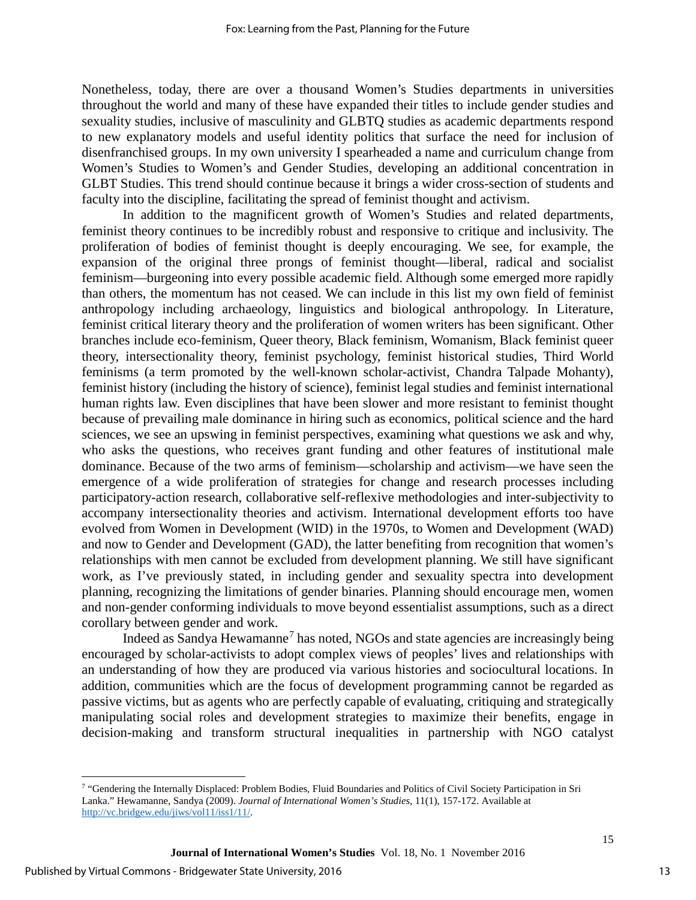Nonetheless, today, there are over a thousand Women's Studies departments in universities throughout the world and many of these have expanded their titles to include gender studies and sexuality studies, inclusive of masculinity and GLBTQ studies as academic departments respond to new explanatory models and useful identity politics that surface the need for inclusion of disenfranchised groups. In my own university I spearheaded a name and curriculum change from Women's Studies to Women's and Gender Studies, developing an additional concentration in GLBT Studies. This trend should continue because it brings a wider cross-section of students and faculty into the discipline, facilitating the spread of feminist thought and activism.

In addition to the magnificent growth of Women's Studies and related departments, feminist theory continues to be incredibly robust and responsive to critique and inclusivity. The proliferation of bodies of feminist thought is deeply encouraging. We see, for example, the expansion of the original three prongs of feminist thought—liberal, radical and socialist feminism—burgeoning into every possible academic field. Although some emerged more rapidly than others, the momentum has not ceased. We can include in this list my own field of feminist anthropology including archaeology, linguistics and biological anthropology. In Literature, feminist critical literary theory and the proliferation of women writers has been significant. Other branches include eco-feminism, Queer theory, Black feminism, Womanism, Black feminist queer theory, intersectionality theory, feminist psychology, feminist historical studies, Third World feminisms (a term promoted by the well-known scholar-activist, Chandra Talpade Mohanty), feminist history (including the history of science), feminist legal studies and feminist international human rights law. Even disciplines that have been slower and more resistant to feminist thought because of prevailing male dominance in hiring such as economics, political science and the hard sciences, we see an upswing in feminist perspectives, examining what questions we ask and why, who asks the questions, who receives grant funding and other features of institutional male dominance. Because of the two arms of feminism—scholarship and activism—we have seen the emergence of a wide proliferation of strategies for change and research processes including participatory-action research, collaborative self-reflexive methodologies and inter-subjectivity to accompany intersectionality theories and activism. International development efforts too have evolved from Women in Development (WID) in the 1970s, to Women and Development (WAD) and now to Gender and Development (GAD), the latter benefiting from recognition that women's relationships with men cannot be excluded from development planning. We still have significant work, as I've previously stated, in including gender and sexuality spectra into development planning, recognizing the limitations of gender binaries. Planning should encourage men, women and non-gender conforming individuals to move beyond essentialist assumptions, such as a direct corollary between gender and work.

Indeed as Sandya Hewamanne<sup>[7](#page-13-0)</sup> has noted, NGOs and state agencies are increasingly being encouraged by scholar-activists to adopt complex views of peoples' lives and relationships with an understanding of how they are produced via various histories and sociocultural locations. In addition, communities which are the focus of development programming cannot be regarded as passive victims, but as agents who are perfectly capable of evaluating, critiquing and strategically manipulating social roles and development strategies to maximize their benefits, engage in decision-making and transform structural inequalities in partnership with NGO catalyst

 $\overline{\phantom{a}}$ 

<span id="page-13-0"></span><sup>7 &</sup>quot;Gendering the Internally Displaced: Problem Bodies, Fluid Boundaries and Politics of Civil Society Participation in Sri Lanka." Hewamanne, Sandya (2009). *Journal of International Women's Studies*, 11(1), 157-172. Available at [http://vc.bridgew.edu/jiws/vol11/iss1/11/.](http://vc.bridgew.edu/jiws/vol11/iss1/11/)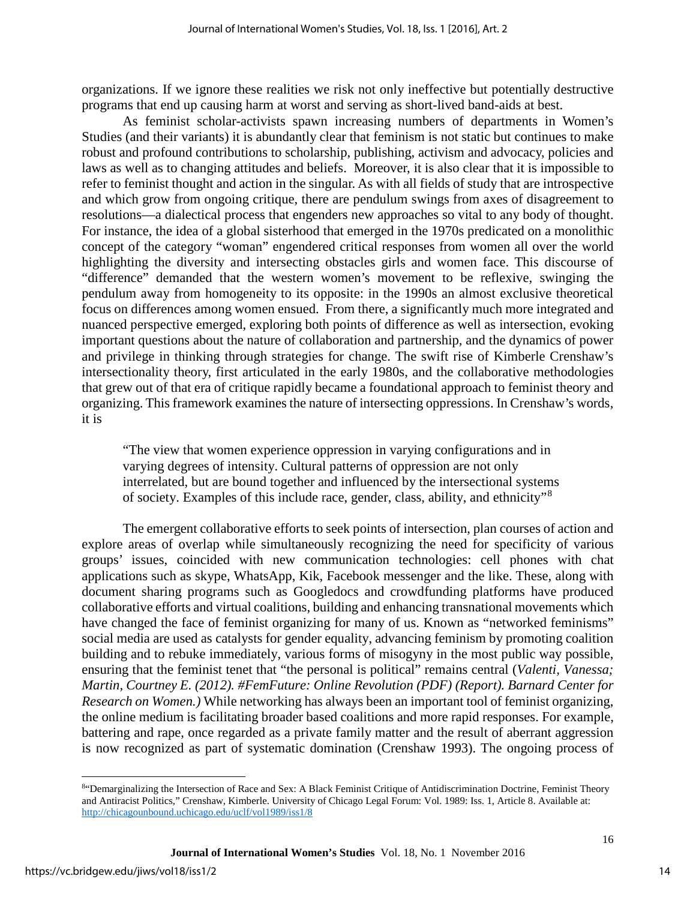organizations. If we ignore these realities we risk not only ineffective but potentially destructive programs that end up causing harm at worst and serving as short-lived band-aids at best.

As feminist scholar-activists spawn increasing numbers of departments in Women's Studies (and their variants) it is abundantly clear that feminism is not static but continues to make robust and profound contributions to scholarship, publishing, activism and advocacy, policies and laws as well as to changing attitudes and beliefs. Moreover, it is also clear that it is impossible to refer to feminist thought and action in the singular. As with all fields of study that are introspective and which grow from ongoing critique, there are pendulum swings from axes of disagreement to resolutions—a dialectical process that engenders new approaches so vital to any body of thought. For instance, the idea of a global sisterhood that emerged in the 1970s predicated on a monolithic concept of the category "woman" engendered critical responses from women all over the world highlighting the diversity and intersecting obstacles girls and women face. This discourse of "difference" demanded that the western women's movement to be reflexive, swinging the pendulum away from homogeneity to its opposite: in the 1990s an almost exclusive theoretical focus on differences among women ensued. From there, a significantly much more integrated and nuanced perspective emerged, exploring both points of difference as well as intersection, evoking important questions about the nature of collaboration and partnership, and the dynamics of power and privilege in thinking through strategies for change. The swift rise of Kimberle Crenshaw's intersectionality theory, first articulated in the early 1980s, and the collaborative methodologies that grew out of that era of critique rapidly became a foundational approach to feminist theory and organizing. This framework examines the nature of intersecting oppressions. In Crenshaw's words, it is

"The view that women experience oppression in varying configurations and in varying degrees of intensity. Cultural patterns of oppression are not only interrelated, but are bound together and influenced by the intersectional systems of society. Examples of this include race, gender, class, ability, and ethnicity"[8](#page-14-0)

The emergent collaborative efforts to seek points of intersection, plan courses of action and explore areas of overlap while simultaneously recognizing the need for specificity of various groups' issues, coincided with new communication technologies: cell phones with chat applications such as skype, WhatsApp, Kik, Facebook messenger and the like. These, along with document sharing programs such as Googledocs and crowdfunding platforms have produced collaborative efforts and virtual coalitions, building and enhancing transnational movements which have changed the face of feminist organizing for many of us. Known as "networked feminisms" social media are used as catalysts for gender equality, advancing feminism by promoting coalition building and to rebuke immediately, various forms of misogyny in the most public way possible, ensuring that the feminist tenet that "the personal is political" remains central (*Valenti, Vanessa; Martin, Courtney E. (2012). #FemFuture: Online Revolution (PDF) (Report). Barnard Center for Research on Women.)* While networking has always been an important tool of feminist organizing, the online medium is facilitating broader based coalitions and more rapid responses. For example, battering and rape, once regarded as a private family matter and the result of aberrant aggression is now recognized as part of systematic domination (Crenshaw 1993). The ongoing process of

<span id="page-14-0"></span> $\overline{\phantom{a}}$ 8"Demarginalizing the Intersection of Race and Sex: A Black Feminist Critique of Antidiscrimination Doctrine, Feminist Theory and Antiracist Politics," Crenshaw, Kimberle. University of Chicago Legal Forum: Vol. 1989: Iss. 1, Article 8. Available at: <http://chicagounbound.uchicago.edu/uclf/vol1989/iss1/8>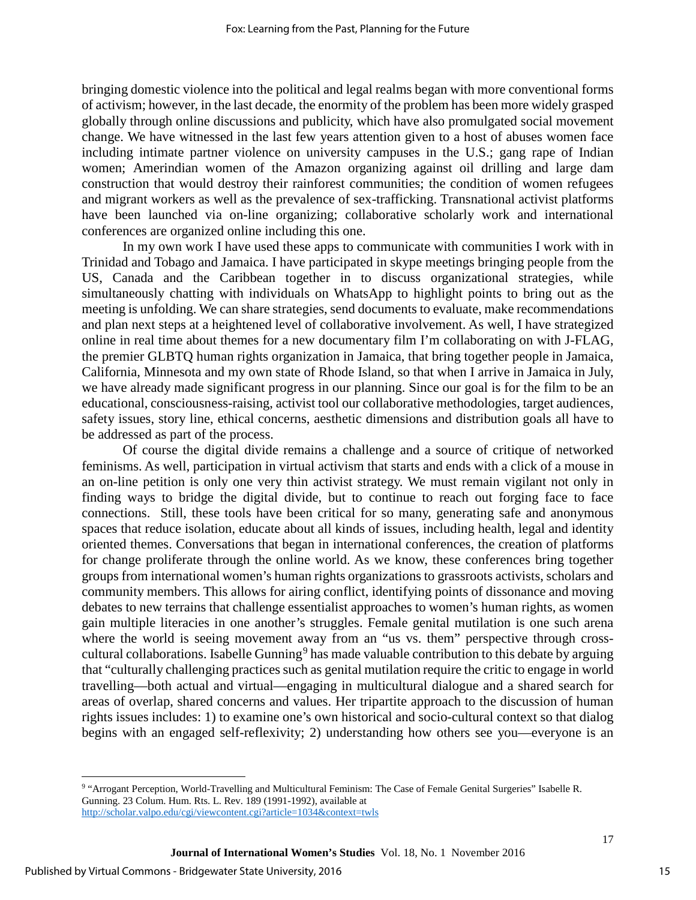bringing domestic violence into the political and legal realms began with more conventional forms of activism; however, in the last decade, the enormity of the problem has been more widely grasped globally through online discussions and publicity, which have also promulgated social movement change. We have witnessed in the last few years attention given to a host of abuses women face including intimate partner violence on university campuses in the U.S.; gang rape of Indian women; Amerindian women of the Amazon organizing against oil drilling and large dam construction that would destroy their rainforest communities; the condition of women refugees and migrant workers as well as the prevalence of sex-trafficking. Transnational activist platforms have been launched via on-line organizing; collaborative scholarly work and international conferences are organized online including this one.

In my own work I have used these apps to communicate with communities I work with in Trinidad and Tobago and Jamaica. I have participated in skype meetings bringing people from the US, Canada and the Caribbean together in to discuss organizational strategies, while simultaneously chatting with individuals on WhatsApp to highlight points to bring out as the meeting is unfolding. We can share strategies, send documents to evaluate, make recommendations and plan next steps at a heightened level of collaborative involvement. As well, I have strategized online in real time about themes for a new documentary film I'm collaborating on with J-FLAG, the premier GLBTQ human rights organization in Jamaica, that bring together people in Jamaica, California, Minnesota and my own state of Rhode Island, so that when I arrive in Jamaica in July, we have already made significant progress in our planning. Since our goal is for the film to be an educational, consciousness-raising, activist tool our collaborative methodologies, target audiences, safety issues, story line, ethical concerns, aesthetic dimensions and distribution goals all have to be addressed as part of the process.

Of course the digital divide remains a challenge and a source of critique of networked feminisms. As well, participation in virtual activism that starts and ends with a click of a mouse in an on-line petition is only one very thin activist strategy. We must remain vigilant not only in finding ways to bridge the digital divide, but to continue to reach out forging face to face connections. Still, these tools have been critical for so many, generating safe and anonymous spaces that reduce isolation, educate about all kinds of issues, including health, legal and identity oriented themes. Conversations that began in international conferences, the creation of platforms for change proliferate through the online world. As we know, these conferences bring together groups from international women's human rights organizations to grassroots activists, scholars and community members. This allows for airing conflict, identifying points of dissonance and moving debates to new terrains that challenge essentialist approaches to women's human rights, as women gain multiple literacies in one another's struggles. Female genital mutilation is one such arena where the world is seeing movement away from an "us vs. them" perspective through cross-cultural collaborations. Isabelle Gunning<sup>[9](#page-15-0)</sup> has made valuable contribution to this debate by arguing that "culturally challenging practices such as genital mutilation require the critic to engage in world travelling—both actual and virtual—engaging in multicultural dialogue and a shared search for areas of overlap, shared concerns and values. Her tripartite approach to the discussion of human rights issues includes: 1) to examine one's own historical and socio-cultural context so that dialog begins with an engaged self-reflexivity; 2) understanding how others see you—everyone is an

<span id="page-15-0"></span> $\overline{\phantom{a}}$ <sup>9</sup> "Arrogant Perception, World-Travelling and Multicultural Feminism: The Case of Female Genital Surgeries" Isabelle R. Gunning. 23 Colum. Hum. Rts. L. Rev. 189 (1991-1992), available at <http://scholar.valpo.edu/cgi/viewcontent.cgi?article=1034&context=twls>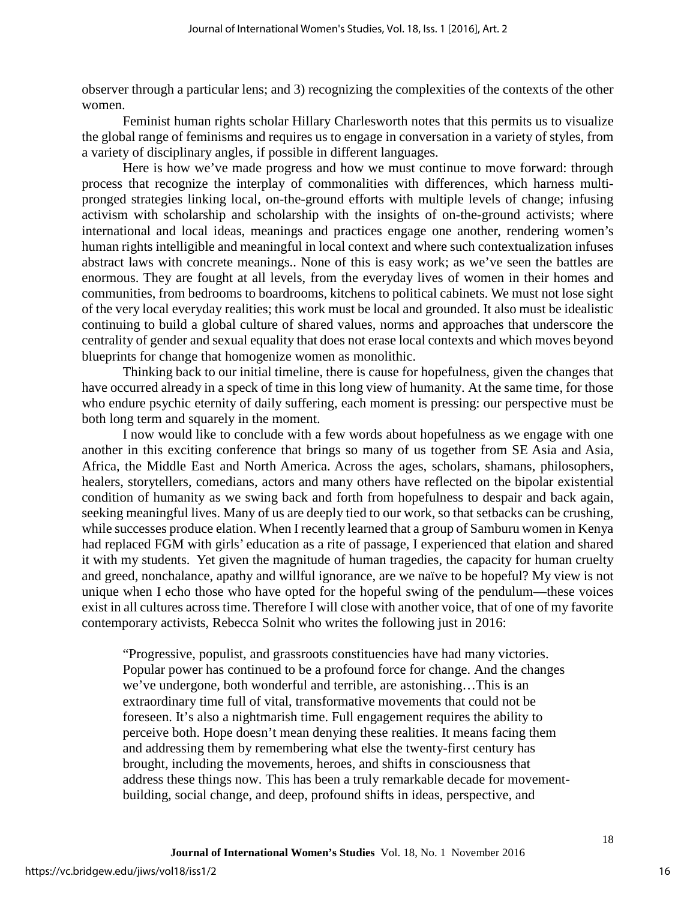observer through a particular lens; and 3) recognizing the complexities of the contexts of the other women.

Feminist human rights scholar Hillary Charlesworth notes that this permits us to visualize the global range of feminisms and requires us to engage in conversation in a variety of styles, from a variety of disciplinary angles, if possible in different languages.

Here is how we've made progress and how we must continue to move forward: through process that recognize the interplay of commonalities with differences, which harness multipronged strategies linking local, on-the-ground efforts with multiple levels of change; infusing activism with scholarship and scholarship with the insights of on-the-ground activists; where international and local ideas, meanings and practices engage one another, rendering women's human rights intelligible and meaningful in local context and where such contextualization infuses abstract laws with concrete meanings.. None of this is easy work; as we've seen the battles are enormous. They are fought at all levels, from the everyday lives of women in their homes and communities, from bedrooms to boardrooms, kitchens to political cabinets. We must not lose sight of the very local everyday realities; this work must be local and grounded. It also must be idealistic continuing to build a global culture of shared values, norms and approaches that underscore the centrality of gender and sexual equality that does not erase local contexts and which moves beyond blueprints for change that homogenize women as monolithic.

Thinking back to our initial timeline, there is cause for hopefulness, given the changes that have occurred already in a speck of time in this long view of humanity. At the same time, for those who endure psychic eternity of daily suffering, each moment is pressing: our perspective must be both long term and squarely in the moment.

I now would like to conclude with a few words about hopefulness as we engage with one another in this exciting conference that brings so many of us together from SE Asia and Asia, Africa, the Middle East and North America. Across the ages, scholars, shamans, philosophers, healers, storytellers, comedians, actors and many others have reflected on the bipolar existential condition of humanity as we swing back and forth from hopefulness to despair and back again, seeking meaningful lives. Many of us are deeply tied to our work, so that setbacks can be crushing, while successes produce elation. When I recently learned that a group of Samburu women in Kenya had replaced FGM with girls' education as a rite of passage, I experienced that elation and shared it with my students. Yet given the magnitude of human tragedies, the capacity for human cruelty and greed, nonchalance, apathy and willful ignorance, are we naïve to be hopeful? My view is not unique when I echo those who have opted for the hopeful swing of the pendulum—these voices exist in all cultures across time. Therefore I will close with another voice, that of one of my favorite contemporary activists, Rebecca Solnit who writes the following just in 2016:

"Progressive, populist, and grassroots constituencies have had many victories. Popular power has continued to be a profound force for change. And the changes we've undergone, both wonderful and terrible, are astonishing…This is an extraordinary time full of vital, transformative movements that could not be foreseen. It's also a nightmarish time. Full engagement requires the ability to perceive both. Hope doesn't mean denying these realities. It means facing them and addressing them by remembering what else the twenty-first century has brought, including the movements, heroes, and shifts in consciousness that address these things now. This has been a truly remarkable decade for movementbuilding, social change, and deep, profound shifts in ideas, perspective, and